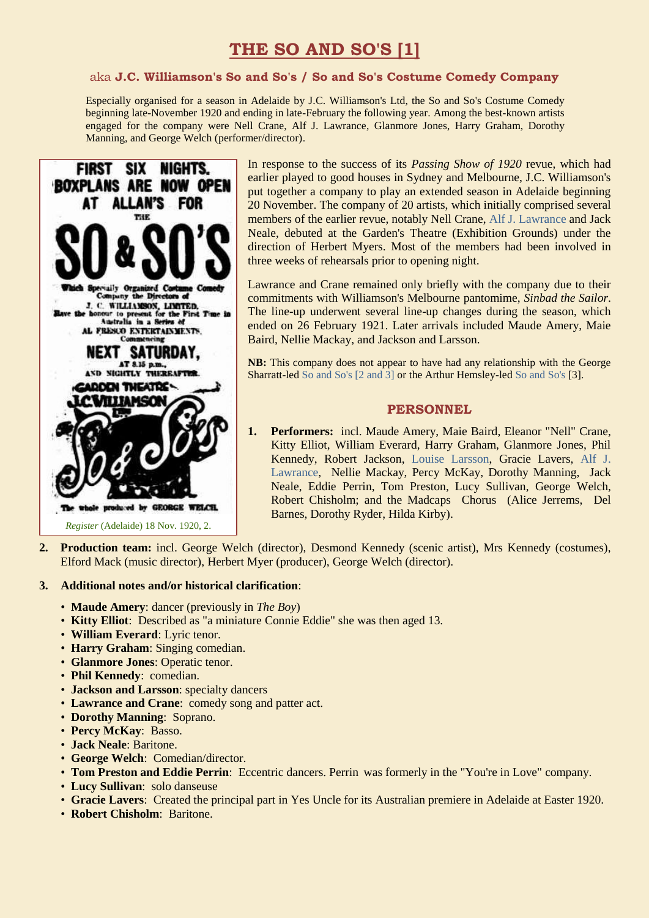# **THE SO AND SO'S [1]**

#### aka **J.C. Williamson's So and So's / So and So's Costume Comedy Company**

Especially organised for a season in Adelaide by J.C. Williamson's Ltd, the So and So's Costume Comedy beginning late-November 1920 and ending in late-February the following year. Among the best-known artists engaged for the company were Nell Crane, Alf J. Lawrance, Glanmore Jones, Harry Graham, Dorothy Manning, and George Welch (performer/director).



In response to the success of its *Passing Show of 1920* revue, which had earlier played to good houses in Sydney and Melbourne, J.C. Williamson's put together a company to play an extended season in Adelaide beginning 20 November. The company of 20 artists, which initially comprised several members of the earlier revue, notably Nell Crane, [Alf J. Lawrance](https://ozvta.com/practitioners-l/) and Jack Neale, debuted at the Garden's Theatre (Exhibition Grounds) under the direction of Herbert Myers. Most of the members had been involved in three weeks of rehearsals prior to opening night.

Lawrance and Crane remained only briefly with the company due to their commitments with Williamson's Melbourne pantomime, *Sinbad the Sailor*. The line-up underwent several line-up changes during the season, which ended on 26 February 1921. Later arrivals included Maude Amery, Maie Baird, Nellie Mackay, and Jackson and Larsson.

**NB:** This company does not appear to have had any relationship with the George Sharratt-led [So and So's \[2 and 3\]](https://ozvta.com/troupes-s-z/) or the Arthur Hemsley-led [So and So's](https://ozvta.com/troupes-s-z/) [3].

## **PERSONNEL**

- **1. Performers:** incl. Maude Amery, Maie Baird, Eleanor "Nell" Crane, Kitty Elliot, William Everard, Harry Graham, Glanmore Jones, Phil Kennedy, Robert Jackson, [Louise Larsson,](http://ozvta.com/entrepreneurs-g-l/) Gracie Lavers, [Alf J.](https://ozvta.com/practitioners-l/)  [Lawrance,](https://ozvta.com/practitioners-l/) Nellie Mackay, Percy McKay, Dorothy Manning, Jack Neale, Eddie Perrin, Tom Preston, Lucy Sullivan, George Welch, Robert Chisholm; and the Madcaps Chorus (Alice Jerrems, Del Barnes, Dorothy Ryder, Hilda Kirby).
- **2. Production team:** incl. George Welch (director), Desmond Kennedy (scenic artist), Mrs Kennedy (costumes), Elford Mack (music director), Herbert Myer (producer), George Welch (director).

#### **3. Additional notes and/or historical clarification**:

- **Maude Amery**: dancer (previously in *The Boy*)
- **Kitty Elliot**: Described as "a miniature Connie Eddie" she was then aged 13.
- **William Everard**: Lyric tenor.
- **Harry Graham**: Singing comedian.
- **Glanmore Jones**: Operatic tenor.
- **Phil Kennedy**: comedian.
- **Jackson and Larsson**: specialty dancers
- **Lawrance and Crane**: comedy song and patter act.
- **Dorothy Manning**: Soprano.
- **Percy McKay**: Basso.
- **Jack Neale**: Baritone.
- **George Welch**: Comedian/director.
- **Tom Preston and Eddie Perrin**: Eccentric dancers. Perrin was formerly in the "You're in Love" company.
- **Lucy Sullivan**: solo danseuse
- **Gracie Lavers**: Created the principal part in Yes Uncle for its Australian premiere in Adelaide at Easter 1920.
- **Robert Chisholm**: Baritone.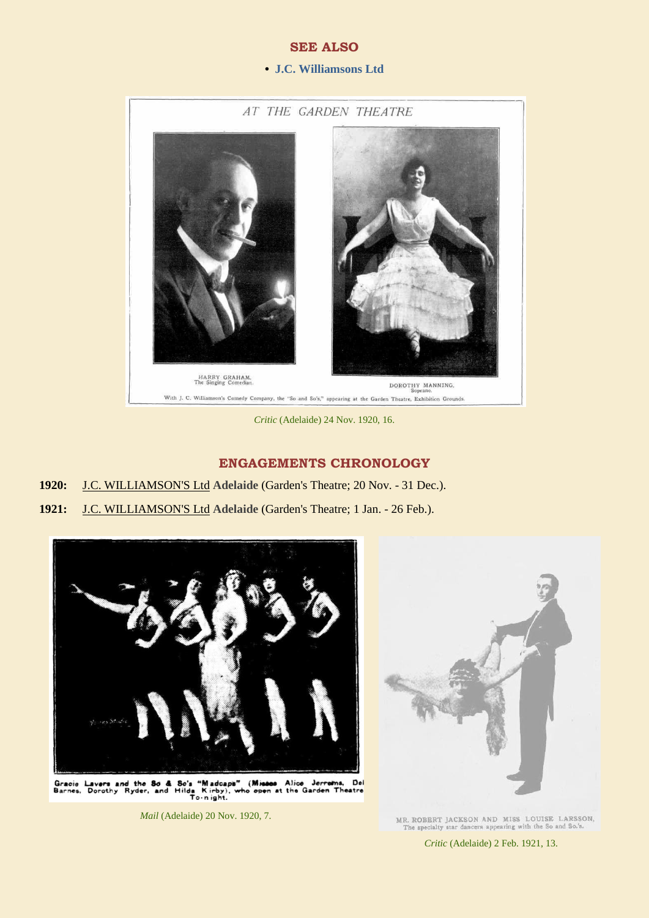## **SEE ALSO**

#### **• [J.C. Williamsons](https://ozvta.com/organisations-a-l/) Ltd**



*Critic* (Adelaide) 24 Nov. 1920, 16.

## **ENGAGEMENTS CHRONOLOGY**

- **1920:** J.C. WILLIAMSON'S Ltd **Adelaide** (Garden's Theatre; 20 Nov. 31 Dec.).
- **1921:** J.C. WILLIAMSON'S Ltd **Adelaide** (Garden's Theatre; 1 Jan. 26 Feb.).



Gracie Lavers and the So & So's "Madcaps" (Misses Alice Jerrems, Del<br>Barnes, Dorothy Ryder, and Hilda Kirby), who open at the Garden Theatre

*Mail* (Adelaide) 20 Nov. 1920, 7.



MR. ROBERT JACKSON AND MISS LOUISE LARSSON, The specialty star dancers appearing with the So and So.'s.

*Critic* (Adelaide) 2 Feb. 1921, 13.